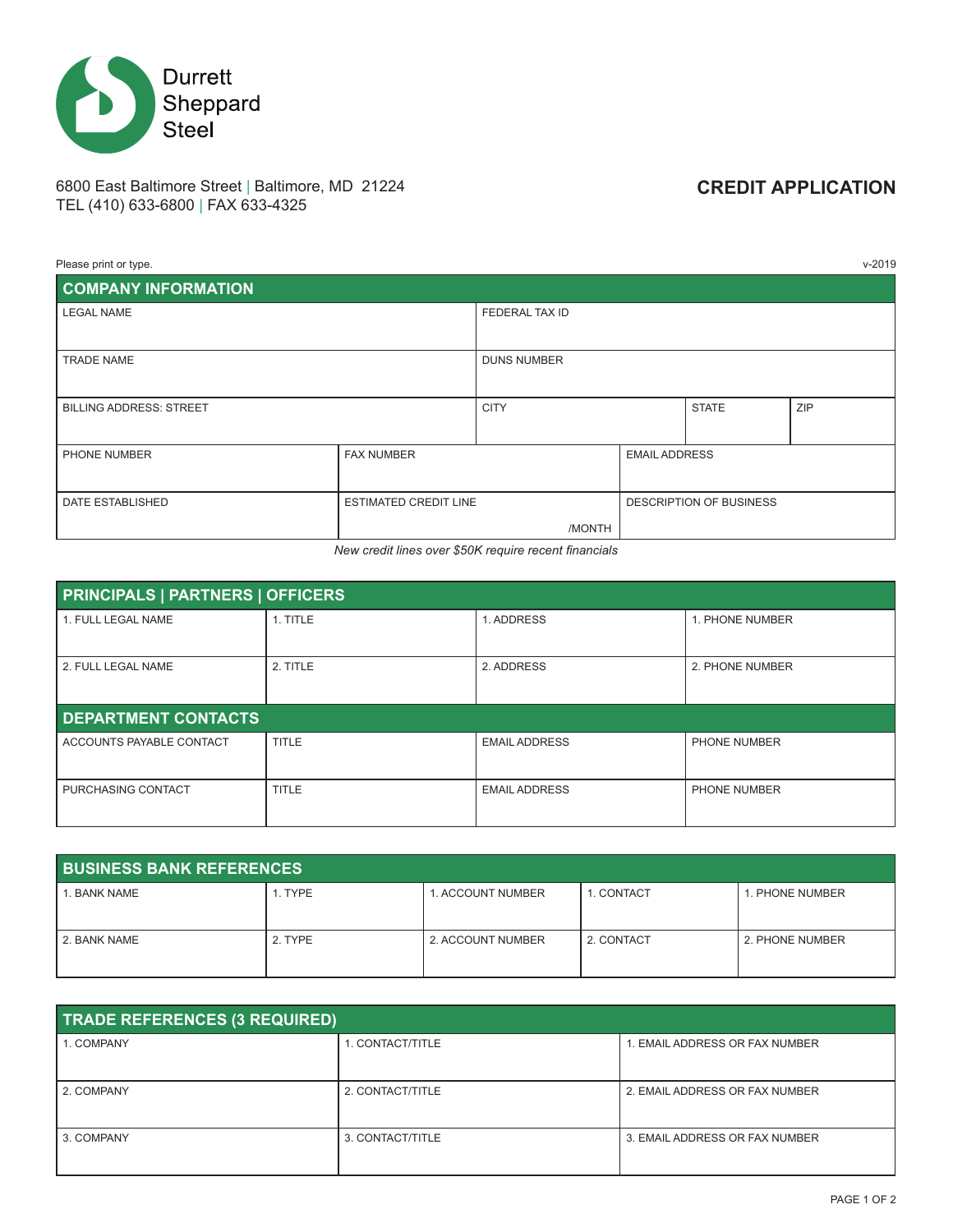

# 6800 East Baltimore Street | Baltimore, MD 21224 **CREDIT APPLICATION** TEL (410) 633-6800 | FAX 633-4325

| Please print or type.          |                              |                    |  |                         | $v - 2019$ |
|--------------------------------|------------------------------|--------------------|--|-------------------------|------------|
| <b>COMPANY INFORMATION</b>     |                              |                    |  |                         |            |
| <b>LEGAL NAME</b>              |                              | FEDERAL TAX ID     |  |                         |            |
|                                |                              |                    |  |                         |            |
| <b>TRADE NAME</b>              |                              | <b>DUNS NUMBER</b> |  |                         |            |
|                                |                              |                    |  |                         |            |
| <b>BILLING ADDRESS: STREET</b> |                              | <b>CITY</b>        |  | <b>STATE</b>            | ZIP        |
|                                |                              |                    |  |                         |            |
| PHONE NUMBER                   | <b>FAX NUMBER</b>            |                    |  | <b>EMAIL ADDRESS</b>    |            |
|                                |                              |                    |  |                         |            |
| DATE ESTABLISHED               | <b>ESTIMATED CREDIT LINE</b> |                    |  | DESCRIPTION OF BUSINESS |            |
|                                |                              | /MONTH             |  |                         |            |

*New credit lines over \$50K require recent financials*

| <b>PRINCIPALS   PARTNERS   OFFICERS</b> |          |                      |                 |  |
|-----------------------------------------|----------|----------------------|-----------------|--|
| 1. FULL LEGAL NAME                      | 1. TITLE | 1. ADDRESS           | 1. PHONE NUMBER |  |
| 2. FULL LEGAL NAME                      | 2. TITLE | 2. ADDRESS           | 2. PHONE NUMBER |  |
| <b>DEPARTMENT CONTACTS</b>              |          |                      |                 |  |
| ACCOUNTS PAYABLE CONTACT                | TITLE    | <b>EMAIL ADDRESS</b> | PHONE NUMBER    |  |
| PURCHASING CONTACT                      | TITLE    | <b>EMAIL ADDRESS</b> | PHONE NUMBER    |  |

| <b>BUSINESS BANK REFERENCES</b> |         |                   |            |                 |
|---------------------------------|---------|-------------------|------------|-----------------|
| . BANK NAME                     | 1. TYPE | 1. ACCOUNT NUMBER | 1. CONTACT | 1. PHONE NUMBER |
| 2. BANK NAME                    | 2. TYPE | 2. ACCOUNT NUMBER | 2. CONTACT | 2. PHONE NUMBER |

| <b>TRADE REFERENCES (3 REQUIRED)</b> |                  |                                |  |  |
|--------------------------------------|------------------|--------------------------------|--|--|
| 1. COMPANY                           | I. CONTACT/TITLE | 1. EMAIL ADDRESS OR FAX NUMBER |  |  |
|                                      |                  |                                |  |  |
| 2. COMPANY                           | 2. CONTACT/TITLE | 2. EMAIL ADDRESS OR FAX NUMBER |  |  |
| 3. COMPANY                           | 3. CONTACT/TITLE | 3. EMAIL ADDRESS OR FAX NUMBER |  |  |